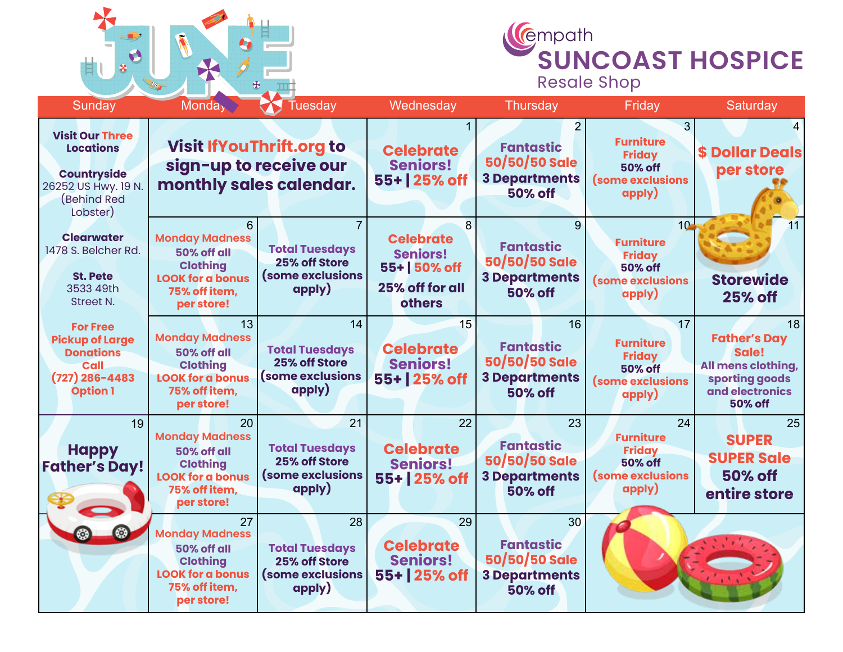



| Sunday                                                                                                                   | Monda <sub>y</sub>                                                                                                      | Tuesday                                                                    | Wednesday                                                                                   | Thursday                                                                                       | Friday                                                                                               | Saturday                                                                                                        |
|--------------------------------------------------------------------------------------------------------------------------|-------------------------------------------------------------------------------------------------------------------------|----------------------------------------------------------------------------|---------------------------------------------------------------------------------------------|------------------------------------------------------------------------------------------------|------------------------------------------------------------------------------------------------------|-----------------------------------------------------------------------------------------------------------------|
| <b>Visit Our Three</b><br><b>Locations</b><br><b>Countryside</b><br>26252 US Hwy. 19 N.<br><b>Behind Red</b><br>Lobster) | <b>Visit If You Thrift.org to</b><br>sign-up to receive our<br>monthly sales calendar.                                  |                                                                            | <b>Celebrate</b><br><b>Seniors!</b><br>55+ 25% off                                          | <b>Fantastic</b><br>50/50/50 Sale<br><b>3 Departments</b><br><b>50% off</b>                    | 3<br><b>Furniture</b><br><b>Friday</b><br><b>50% off</b><br><b>(some exclusions</b><br>apply)        | <b>\$ Dollar Deals</b><br>per store                                                                             |
| <b>Clearwater</b><br>1478 S. Belcher Rd.<br><b>St. Pete</b><br>3533 49th<br>Street N.                                    | 6<br><b>Monday Madness</b><br>50% off all<br><b>Clothing</b><br><b>LOOK for a bonus</b><br>75% off item,<br>per store!  | <b>Total Tuesdays</b><br>25% off Store<br>(some exclusions<br>apply)       | 8<br><b>Celebrate</b><br><b>Seniors!</b><br>55+ 50% off<br>25% off for all<br><b>others</b> | 9<br><b>Fantastic</b><br>50/50/50 Sale<br><b>3 Departments</b><br><b>50% off</b>               | 10 <sub>1</sub><br><b>Furniture</b><br><b>Friday</b><br><b>50% off</b><br>(some exclusions<br>apply) | $\overline{11}$<br><b>Storewide</b><br><b>25% off</b>                                                           |
| <b>For Free</b><br><b>Pickup of Large</b><br><b>Donations</b><br>Call<br>$(727)$ 286-4483<br><b>Option 1</b>             | 13<br><b>Monday Madness</b><br>50% off all<br><b>Clothing</b><br><b>LOOK for a bonus</b><br>75% off item,<br>per store! | 14<br><b>Total Tuesdays</b><br>25% off Store<br>(some exclusions<br>apply) | 15<br><b>Celebrate</b><br><b>Seniors!</b><br>55+ 25% off                                    | 16<br><b>Fantastic</b><br>50/50/50 Sale<br><b>3 Departments</b><br><b>50% off</b>              | 17<br><b>Furniture</b><br><b>Friday</b><br><b>50% off</b><br>(some exclusions<br>apply)              | 18<br><b>Father's Day</b><br>Sale!<br>All mens clothing,<br>sporting goods<br>and electronics<br><b>50% off</b> |
| 19<br><b>Happy</b><br><b>Father's Day!</b>                                                                               | 20<br><b>Monday Madness</b><br>50% off all<br><b>Clothing</b><br><b>LOOK for a bonus</b><br>75% off item,<br>per store! | 21<br><b>Total Tuesdays</b><br>25% off Store<br>(some exclusions<br>apply) | 22<br><b>Celebrate</b><br><b>Seniors!</b><br>55+ 25% off                                    | 23<br><b>Fantastic</b><br>50/50/50 Sale<br><b>3 Departments</b><br><b>50% off</b>              | 24<br><b>Furniture</b><br><b>Friday</b><br><b>50% off</b><br>(some exclusions<br>apply)              | 25<br><b>SUPER</b><br><b>SUPER Sale</b><br><b>50% off</b><br>entire store                                       |
| ٥                                                                                                                        | 27<br><b>Monday Madness</b><br>50% off all<br><b>Clothing</b><br><b>LOOK for a bonus</b><br>75% off item,<br>per store! | 28<br><b>Total Tuesdays</b><br>25% off Store<br>(some exclusions<br>apply) | 29<br><b>Celebrate</b><br><b>Seniors!</b><br>55+ 25% off                                    | 30 <sub>2</sub><br><b>Fantastic</b><br>50/50/50 Sale<br><b>3 Departments</b><br><b>50% off</b> |                                                                                                      |                                                                                                                 |